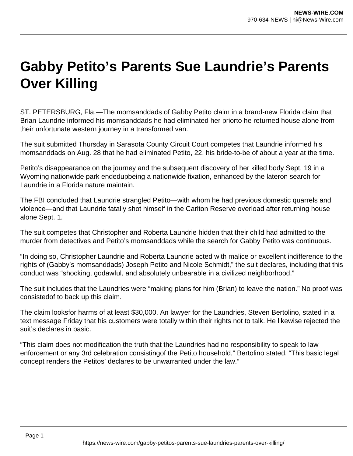## **Gabby Petito's Parents Sue Laundrie's Parents Over Killing**

ST. PETERSBURG, Fla.—The momsanddads of Gabby Petito claim in a brand-new Florida claim that Brian Laundrie informed his momsanddads he had eliminated her priorto he returned house alone from their unfortunate western journey in a transformed van.

The suit submitted Thursday in Sarasota County Circuit Court competes that Laundrie informed his momsanddads on Aug. 28 that he had eliminated Petito, 22, his bride-to-be of about a year at the time.

Petito's disappearance on the journey and the subsequent discovery of her killed body Sept. 19 in a Wyoming nationwide park endedupbeing a nationwide fixation, enhanced by the lateron search for Laundrie in a Florida nature maintain.

The FBI concluded that Laundrie strangled Petito—with whom he had previous domestic quarrels and violence—and that Laundrie fatally shot himself in the Carlton Reserve overload after returning house alone Sept. 1.

The suit competes that Christopher and Roberta Laundrie hidden that their child had admitted to the murder from detectives and Petito's momsanddads while the search for Gabby Petito was continuous.

"In doing so, Christopher Laundrie and Roberta Laundrie acted with malice or excellent indifference to the rights of (Gabby's momsanddads) Joseph Petito and Nicole Schmidt," the suit declares, including that this conduct was "shocking, godawful, and absolutely unbearable in a civilized neighborhood."

The suit includes that the Laundries were "making plans for him (Brian) to leave the nation." No proof was consistedof to back up this claim.

The claim looksfor harms of at least \$30,000. An lawyer for the Laundries, Steven Bertolino, stated in a text message Friday that his customers were totally within their rights not to talk. He likewise rejected the suit's declares in basic.

"This claim does not modification the truth that the Laundries had no responsibility to speak to law enforcement or any 3rd celebration consistingof the Petito household," Bertolino stated. "This basic legal concept renders the Petitos' declares to be unwarranted under the law."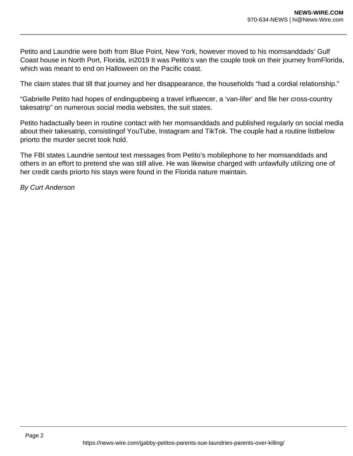Petito and Laundrie were both from Blue Point, New York, however moved to his momsanddads' Gulf Coast house in North Port, Florida, in2019 It was Petito's van the couple took on their journey fromFlorida, which was meant to end on Halloween on the Pacific coast.

The claim states that till that journey and her disappearance, the households "had a cordial relationship."

"Gabrielle Petito had hopes of endingupbeing a travel influencer, a 'van-lifer' and file her cross-country takesatrip" on numerous social media websites, the suit states.

Petito hadactually been in routine contact with her momsanddads and published regularly on social media about their takesatrip, consistingof YouTube, Instagram and TikTok. The couple had a routine listbelow priorto the murder secret took hold.

The FBI states Laundrie sentout text messages from Petito's mobilephone to her momsanddads and others in an effort to pretend she was still alive. He was likewise charged with unlawfully utilizing one of her credit cards priorto his stays were found in the Florida nature maintain.

By Curt Anderson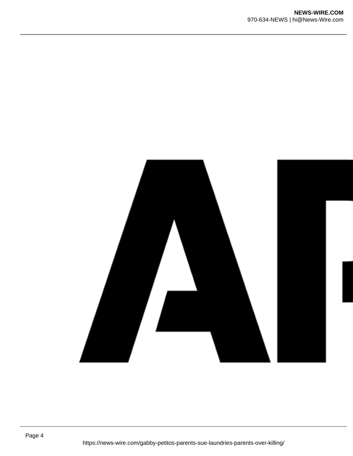